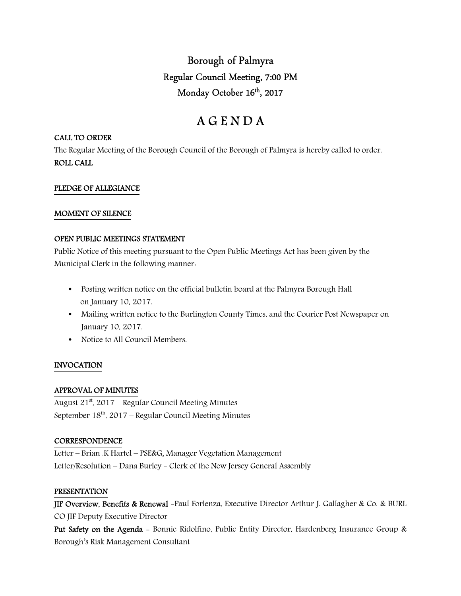Borough of Palmyra Regular Council Meeting, 7:00 PM Monday October 16<sup>th</sup>, 2017

# A G E N D A

## CALL TO ORDER

The Regular Meeting of the Borough Council of the Borough of Palmyra is hereby called to order. ROLL CALL

## PLEDGE OF ALLEGIANCE

## MOMENT OF SILENCE

## OPEN PUBLIC MEETINGS STATEMENT

Public Notice of this meeting pursuant to the Open Public Meetings Act has been given by the Municipal Clerk in the following manner:

- Posting written notice on the official bulletin board at the Palmyra Borough Hall on January 10, 2017.
- Mailing written notice to the Burlington County Times, and the Courier Post Newspaper on January 10, 2017.
- Notice to All Council Members.

## INVOCATION

## APPROVAL OF MINUTES

August  $21^{st}$ , 2017 – Regular Council Meeting Minutes September  $18<sup>th</sup>$ , 2017 – Regular Council Meeting Minutes

## **CORRESPONDENCE**

Letter – Brian .K Hartel – PSE&G, Manager Vegetation Management Letter/Resolution – Dana Burley - Clerk of the New Jersey General Assembly

## PRESENTATION

JIF Overview, Benefits & Renewal -Paul Forlenza, Executive Director Arthur J. Gallagher & Co. & BURL CO JIF Deputy Executive Director

Put Safety on the Agenda - Bonnie Ridolfino, Public Entity Director, Hardenberg Insurance Group & Borough's Risk Management Consultant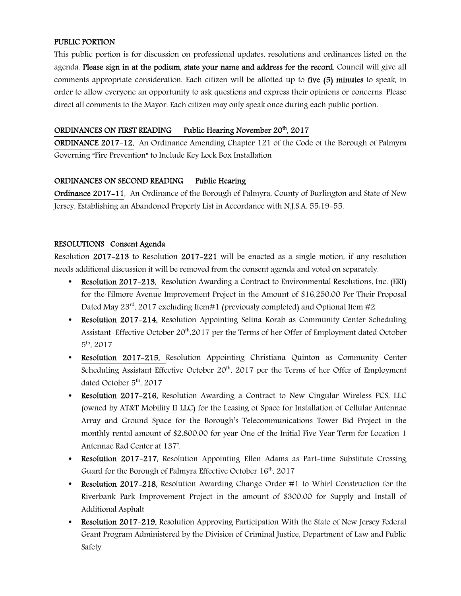# PUBLIC PORTION

This public portion is for discussion on professional updates, resolutions and ordinances listed on the agenda. Please sign in at the podium, state your name and address for the record. Council will give all comments appropriate consideration. Each citizen will be allotted up to five (5) minutes to speak, in order to allow everyone an opportunity to ask questions and express their opinions or concerns. Please direct all comments to the Mayor. Each citizen may only speak once during each public portion.

## ORDINANCES ON FIRST READING Public Hearing November 20<sup>th</sup>, 2017

ORDINANCE 2017-12, An Ordinance Amending Chapter 121 of the Code of the Borough of Palmyra Governing "Fire Prevention" to Include Key Lock Box Installation

# ORDINANCES ON SECOND READING Public Hearing

Ordinance 2017-11, An Ordinance of the Borough of Palmyra, County of Burlington and State of New Jersey, Establishing an Abandoned Property List in Accordance with N.J.S.A. 55:19-55.

# RESOLUTIONS Consent Agenda

Resolution 2017-213 to Resolution 2017-221 will be enacted as a single motion, if any resolution needs additional discussion it will be removed from the consent agenda and voted on separately.

- Resolution 2017-213, Resolution Awarding a Contract to Environmental Resolutions, Inc. (ERI) for the Filmore Avenue Improvement Project in the Amount of \$16,250.00 Per Their Proposal Dated May 23<sup>rd</sup>, 2017 excluding Item#1 (previously completed) and Optional Item #2.
- Resolution 2017–214, Resolution Appointing Selina Korab as Community Center Scheduling Assistant Effective October 20<sup>th</sup>,2017 per the Terms of her Offer of Employment dated October 5 th, 2017
- Resolution 2017–215, Resolution Appointing Christiana Quinton as Community Center Scheduling Assistant Effective October  $20<sup>th</sup>$ , 2017 per the Terms of her Offer of Employment dated October  $5<sup>th</sup>$ , 2017
- Resolution 2017-216, Resolution Awarding a Contract to New Cingular Wireless PCS, LLC (owned by AT&T Mobility II LLC) for the Leasing of Space for Installation of Cellular Antennae Array and Ground Space for the Borough's Telecommunications Tower Bid Project in the monthly rental amount of \$2,800.00 for year One of the Initial Five Year Term for Location 1 Antennae Rad Center at 137'.
- Resolution 2017–217, Resolution Appointing Ellen Adams as Part-time Substitute Crossing Guard for the Borough of Palmyra Effective October 16<sup>th</sup>, 2017
- Resolution 2017-218, Resolution Awarding Change Order #1 to Whirl Construction for the Riverbank Park Improvement Project in the amount of \$300.00 for Supply and Install of Additional Asphalt
- Resolution 2017-219, Resolution Approving Participation With the State of New Jersey Federal Grant Program Administered by the Division of Criminal Justice, Department of Law and Public Safety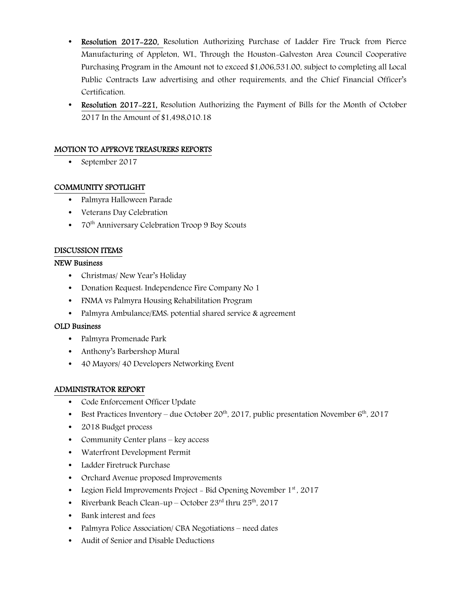- Resolution 2017-220, Resolution Authorizing Purchase of Ladder Fire Truck from Pierce Manufacturing of Appleton, WI., Through the Houston-Galveston Area Council Cooperative Purchasing Program in the Amount not to exceed \$1,006,531.00, subject to completing all Local Public Contracts Law advertising and other requirements, and the Chief Financial Officer's Certification.
- Resolution 2017-221, Resolution Authorizing the Payment of Bills for the Month of October 2017 In the Amount of \$1,498,010.18

## MOTION TO APPROVE TREASURERS REPORTS

• September 2017

## COMMUNITY SPOTLIGHT

- Palmyra Halloween Parade
- Veterans Day Celebration
- $70<sup>th</sup>$  Anniversary Celebration Troop 9 Boy Scouts

## DISCUSSION ITEMS

## NEW Business

- Christmas/ New Year's Holiday
- Donation Request: Independence Fire Company No 1
- FNMA vs Palmyra Housing Rehabilitation Program
- Palmyra Ambulance/EMS: potential shared service & agreement

## OLD Business

- Palmyra Promenade Park
- Anthony's Barbershop Mural
- 40 Mayors/ 40 Developers Networking Event

## ADMINISTRATOR REPORT

- Code Enforcement Officer Update
- Best Practices Inventory due October  $20^{th}$ , 2017, public presentation November  $6^{th}$ , 2017
- 2018 Budget process
- Community Center plans key access
- Waterfront Development Permit
- Ladder Firetruck Purchase
- Orchard Avenue proposed Improvements
- Legion Field Improvements Project Bid Opening November  $1<sup>st</sup>$ , 2017
- Riverbank Beach Clean-up October  $23<sup>rd</sup>$  thru  $25<sup>th</sup>$ , 2017
- Bank interest and fees
- Palmyra Police Association/ CBA Negotiations need dates
- Audit of Senior and Disable Deductions